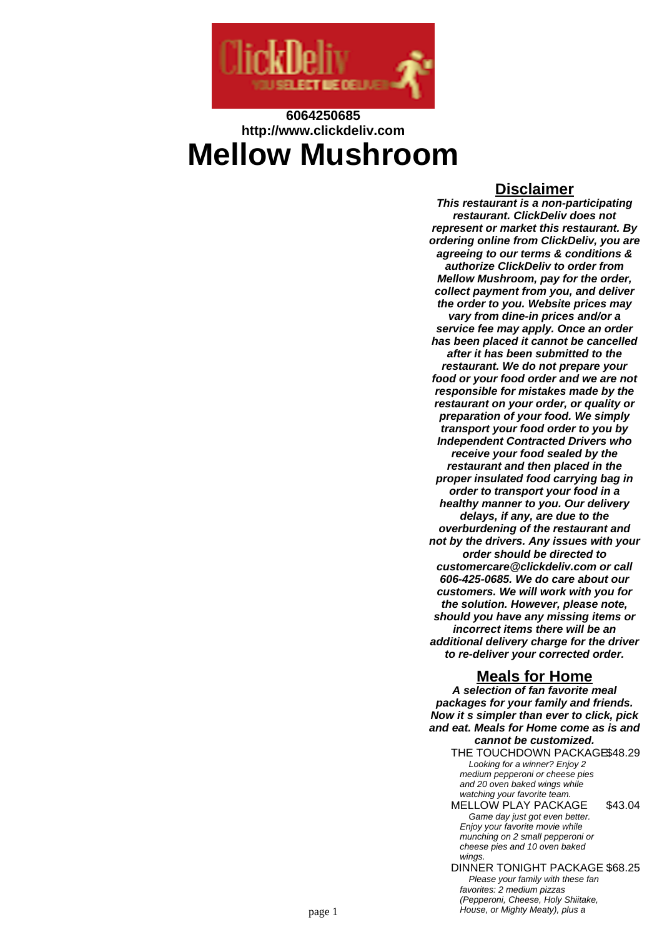

# **6064250685 http://www.clickdeliv.com Mellow Mushroom**

### **Disclaimer**

**This restaurant is a non-participating restaurant. ClickDeliv does not represent or market this restaurant. By ordering online from ClickDeliv, you are agreeing to our terms & conditions & authorize ClickDeliv to order from Mellow Mushroom, pay for the order, collect payment from you, and deliver the order to you. Website prices may vary from dine-in prices and/or a service fee may apply. Once an order has been placed it cannot be cancelled after it has been submitted to the restaurant. We do not prepare your food or your food order and we are not responsible for mistakes made by the restaurant on your order, or quality or preparation of your food. We simply transport your food order to you by Independent Contracted Drivers who receive your food sealed by the restaurant and then placed in the proper insulated food carrying bag in order to transport your food in a healthy manner to you. Our delivery delays, if any, are due to the overburdening of the restaurant and not by the drivers. Any issues with your order should be directed to customercare@clickdeliv.com or call 606-425-0685. We do care about our customers. We will work with you for the solution. However, please note, should you have any missing items or incorrect items there will be an additional delivery charge for the driver to re-deliver your corrected order.**

# **Meals for Home**

**A selection of fan favorite meal packages for your family and friends. Now it s simpler than ever to click, pick and eat. Meals for Home come as is and cannot be customized.**

- THE TOUCHDOWN PACKAGE\$48.29 Looking for a winner? Enjoy 2 medium pepperoni or cheese pies and 20 oven baked wings while watching your favorite team.
- MELLOW PLAY PACKAGE \$43.04 Game day just got even better. Enjoy your favorite movie while munching on 2 small pepperoni or cheese pies and 10 oven baked wings
- DINNER TONIGHT PACKAGE \$68.25 Please your family with these fan favorites: 2 medium pizzas (Pepperoni, Cheese, Holy Shiitake, page 1 house, or Mighty Meaty), plus a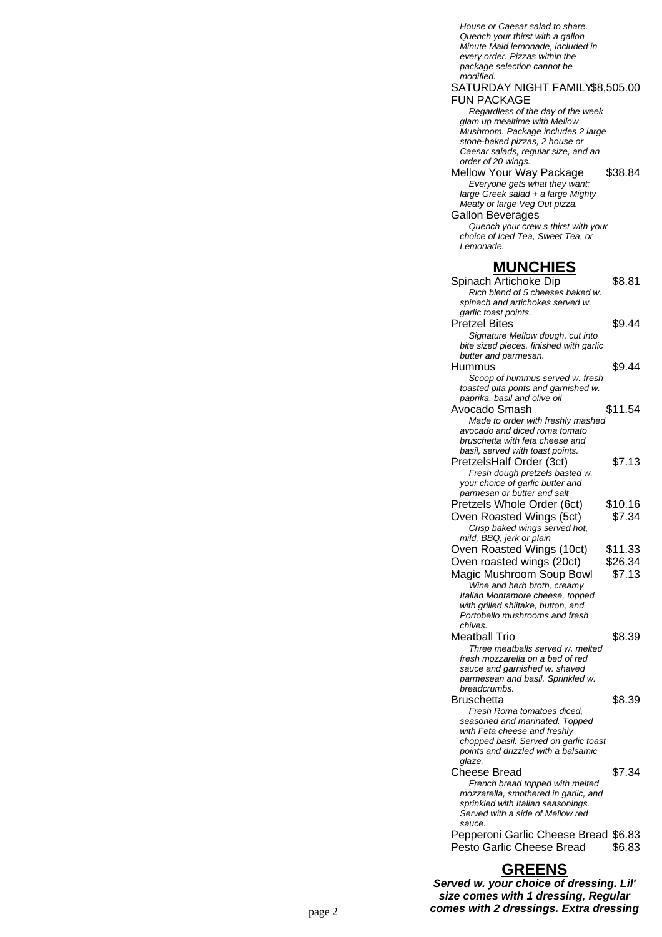House or Caesar salad to share. Quench your thirst with a gallon Minute Maid lemonade, included in every order. Pizzas within the package selection cannot be modified. SATURDAY NIGHT FAMILY \$8,505.00 FUN PACKAGE Regardless of the day of the week glam up mealtime with Mellow Mushroom. Package includes 2 large stone-baked pizzas, 2 house or Caesar salads, regular size, and an order of 20 wings. Mellow Your Way Package \$38.84 Everyone gets what they want: large Greek salad + a large Mighty Meaty or large Veg Out pizza. Gallon Beverages Quench your crew s thirst with your choice of Iced Tea, Sweet Tea, or Lemonade. **MUNCHIES** Spinach Artichoke Dip \$8.81 Rich blend of 5 cheeses baked w. spinach and artichokes served w. garlic toast points. Pretzel Bites \$9.44 Signature Mellow dough, cut into bite sized pieces, finished with garlic butter and parmesan. Hummus \$9.44 Scoop of hummus served w. fresh toasted pita ponts and garnished w. paprika, basil and olive oil Avocado Smash \$11.54 Made to order with freshly mashed avocado and diced roma tomato bruschetta with feta cheese and basil, served with toast points. PretzelsHalf Order (3ct) \$7.13 Fresh dough pretzels basted w. your choice of garlic butter and parmesan or butter and salt Pretzels Whole Order (6ct) \$10.16 Oven Roasted Wings (5ct) \$7.34 Crisp baked wings served hot, mild, BBQ, jerk or plain Oven Roasted Wings (10ct) \$11.33 Oven roasted wings (20ct) \$26.34 Magic Mushroom Soup Bowl \$7.13 Wine and herb broth, creamy Italian Montamore cheese, topped with grilled shiitake, button, and Portobello mushrooms and fresh chives. Meatball Trio \$8.39 Three meatballs served w. melted fresh mozzarella on a bed of red sauce and garnished w. shaved parmesean and basil. Sprinkled w. breadcrumbs. Bruschetta \$8.39 Fresh Roma tomatoes diced, seasoned and marinated. Topped with Feta cheese and freshly chopped basil. Served on garlic toast points and drizzled with a balsamic glaze. Cheese Bread \$7.34 French bread topped with melted mozzarella, smothered in garlic, and sprinkled with Italian seasonings. Served with a side of Mellow red sauce. Pepperoni Garlic Cheese Bread \$6.83 Pesto Garlic Cheese Bread \$6.83

# **GREENS**

**Served w. your choice of dressing. Lil' size comes with 1 dressing, Regular** page 2 **comes with 2 dressings. Extra dressing**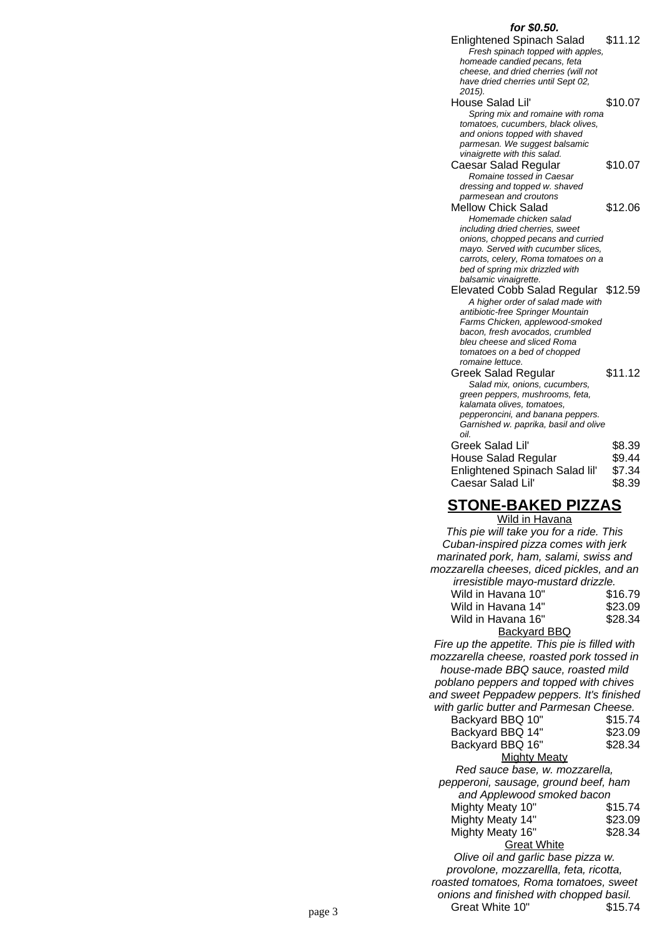#### Enlightened Spinach Salad \$11.12 Fresh spinach topped with apples, homeade candied pecans, feta cheese, and dried cherries (will not have dried cherries until Sept 02, 2015). House Salad Lil' \$10.07 Spring mix and romaine with roma tomatoes, cucumbers, black olives, and onions topped with shaved parmesan. We suggest balsamic vinaigrette with this salad. Caesar Salad Regular \$10.07 Romaine tossed in Caesar dressing and topped w. shaved parmesean and croutons Mellow Chick Salad \$12.06 Homemade chicken salad including dried cherries, sweet onions, chopped pecans and curried mayo. Served with cucumber slices, carrots, celery, Roma tomatoes on a bed of spring mix drizzled with balsamic vinaigrette. Elevated Cobb Salad Regular \$12.59 A higher order of salad made with antibiotic-free Springer Mountain Farms Chicken, applewood-smoked bacon, fresh avocados, crumbled bleu cheese and sliced Roma tomatoes on a bed of chopped romaine lettuce. Greek Salad Regular \$11.12 Salad mix, onions, cucumbers, green peppers, mushrooms, feta, kalamata olives, tomatoes, pepperoncini, and banana peppers. Garnished w. paprika, basil and olive oil. Greek Salad Lil' \$8.39 House Salad Regular \$9.44 Enlightened Spinach Salad lil' \$7.34 Caesar Salad Lil' \$8.39 **STONE-BAKED PIZZAS** Wild in Havana

**for \$0.50.**

|        | <u>11112 111 1121 121 121</u>                 |         |
|--------|-----------------------------------------------|---------|
|        | This pie will take you for a ride. This       |         |
|        | Cuban-inspired pizza comes with jerk          |         |
|        | marinated pork, ham, salami, swiss and        |         |
|        | mozzarella cheeses, diced pickles, and an     |         |
|        | irresistible mayo-mustard drizzle.            |         |
|        | Wild in Havana 10"                            | \$16.79 |
|        | Wild in Havana 14"                            | \$23.09 |
|        | Wild in Havana 16"                            | \$28.34 |
|        | <b>Backyard BBQ</b>                           |         |
|        | Fire up the appetite. This pie is filled with |         |
|        | mozzarella cheese, roasted pork tossed in     |         |
|        | house-made BBQ sauce, roasted mild            |         |
|        | poblano peppers and topped with chives        |         |
|        | and sweet Peppadew peppers. It's finished     |         |
|        | with garlic butter and Parmesan Cheese.       |         |
|        | Backyard BBQ 10"                              | \$15.74 |
|        | Backyard BBQ 14"                              | \$23.09 |
|        | Backyard BBQ 16"                              | \$28.34 |
|        | <b>Mighty Meaty</b>                           |         |
|        | Red sauce base, w. mozzarella,                |         |
|        | pepperoni, sausage, ground beef, ham          |         |
|        | and Applewood smoked bacon                    |         |
|        | Mighty Meaty 10"                              | \$15.74 |
|        | Mighty Meaty 14"                              | \$23.09 |
|        | Mighty Meaty 16"                              | \$28.34 |
|        | <b>Great White</b>                            |         |
|        | Olive oil and garlic base pizza w.            |         |
|        | provolone, mozzarellla, feta, ricotta,        |         |
|        | roasted tomatoes, Roma tomatoes, sweet        |         |
|        | onions and finished with chopped basil.       |         |
|        | Great White 10"                               | \$15.74 |
| page 3 |                                               |         |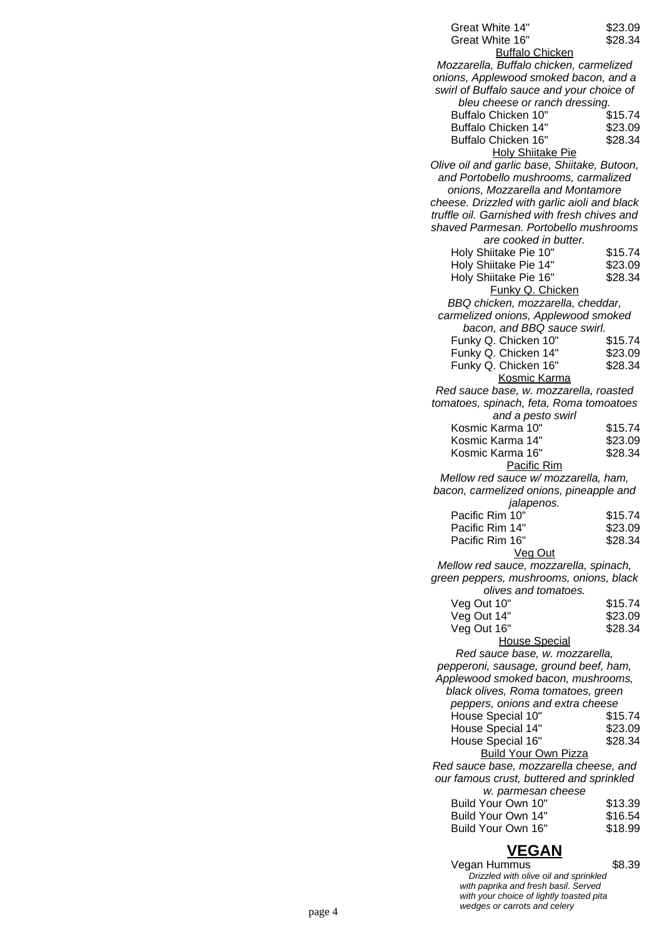| Great White 14"                              | \$23.09            |
|----------------------------------------------|--------------------|
| Great White 16"                              | \$28.34            |
| <b>Buffalo Chicken</b>                       |                    |
| Mozzarella, Buffalo chicken, carmelized      |                    |
| onions, Applewood smoked bacon, and a        |                    |
| swirl of Buffalo sauce and your choice of    |                    |
| bleu cheese or ranch dressing.               |                    |
| Buffalo Chicken 10"                          | \$15.74            |
| Buffalo Chicken 14"                          | \$23.09            |
| Buffalo Chicken 16"                          | \$28.34            |
| <b>Holy Shiitake Pie</b>                     |                    |
| Olive oil and garlic base, Shiitake, Butoon, |                    |
| and Portobello mushrooms, carmalized         |                    |
| onions, Mozzarella and Montamore             |                    |
| cheese. Drizzled with garlic aioli and black |                    |
| truffle oil. Garnished with fresh chives and |                    |
| shaved Parmesan. Portobello mushrooms        |                    |
| are cooked in butter.                        |                    |
| Holy Shiitake Pie 10"                        | \$15.74            |
| Holy Shiitake Pie 14"                        | \$23.09            |
| Holy Shiitake Pie 16"                        | \$28.34            |
| Funky Q. Chicken                             |                    |
| BBQ chicken, mozzarella, cheddar,            |                    |
| carmelized onions, Applewood smoked          |                    |
| bacon, and BBQ sauce swirl.                  | \$15.74            |
| Funky Q. Chicken 10"<br>Funky Q. Chicken 14" | \$23.09            |
| Funky Q. Chicken 16"                         | \$28.34            |
| Kosmic Karma                                 |                    |
| Red sauce base, w. mozzarella, roasted       |                    |
| tomatoes, spinach, feta, Roma tomoatoes      |                    |
| and a pesto swirl                            |                    |
| Kosmic Karma 10"                             | \$15.74            |
| Kosmic Karma 14"                             | \$23.09            |
| Kosmic Karma 16"                             | \$28.34            |
| Pacific Rim                                  |                    |
| Mellow red sauce w/ mozzarella, ham,         |                    |
| bacon, carmelized onions, pineapple and      |                    |
| jalapenos.                                   |                    |
| Pacific Rim 10"                              | \$15.74            |
| Pacific Rim 14"                              | \$23.09            |
| Pacific Rim 16"                              | \$28.34            |
| Veg Out                                      |                    |
| Mellow red sauce, mozzarella, spinach,       |                    |
| green peppers, mushrooms, onions, black      |                    |
| olives and tomatoes.                         |                    |
| Veg Out 10"                                  | \$15.74            |
| Veg Out 14"                                  | \$23.09            |
| Veg Out 16"                                  | \$28.34            |
| <b>House Special</b>                         |                    |
| Red sauce base, w. mozzarella,               |                    |
| pepperoni, sausage, ground beef, ham,        |                    |
| Applewood smoked bacon, mushrooms,           |                    |
| black olives, Roma tomatoes, green           |                    |
| peppers, onions and extra cheese             |                    |
| House Special 10"                            | \$15.74            |
| House Special 14"                            | \$23.09            |
| House Special 16"                            | \$28.34            |
| <b>Build Your Own Pizza</b>                  |                    |
| Red sauce base, mozzarella cheese, and       |                    |
|                                              |                    |
| our famous crust, buttered and sprinkled     |                    |
| w. parmesan cheese                           |                    |
| Build Your Own 10"                           | \$13.39            |
| Build Your Own 14"<br>Build Your Own 16"     | \$16.54<br>\$18.99 |

# **VEGAN**

Vegan Hummus \$8.39 Drizzled with olive oil and sprinkled with paprika and fresh basil. Served with your choice of lightly toasted pita page 4 and contact the state of wedges or carrots and celery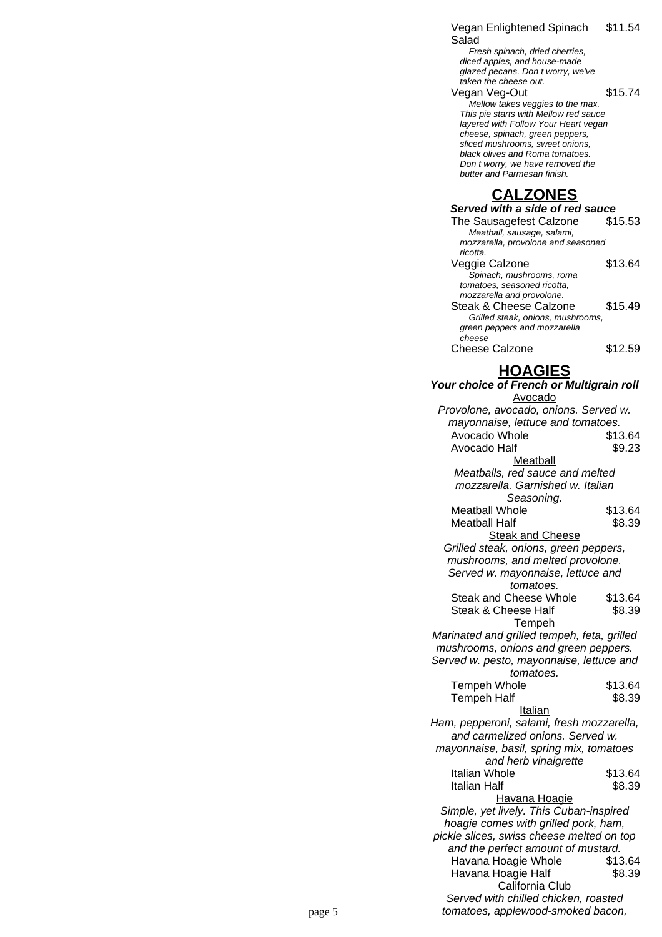Vegan Enlightened Spinach Salad \$11.54

Fresh spinach, dried cherries, diced apples, and house-made glazed pecans. Don t worry, we've taken the cheese out.

Vegan Veg-Out \$15.74 Mellow takes veggies to the max. This pie starts with Mellow red sauce layered with Follow Your Heart vegan cheese, spinach, green peppers, sliced mushrooms, sweet onions, black olives and Roma tomatoes. Don t worry, we have removed the butter and Parmesan finish.

# **CALZONES**

| Served with a side of red sauce    |         |  |
|------------------------------------|---------|--|
| The Sausagefest Calzone            | \$15.53 |  |
| Meatball, sausage, salami,         |         |  |
| mozzarella, provolone and seasoned |         |  |
| ricotta.                           |         |  |
| Veggie Calzone                     | \$13.64 |  |
| Spinach, mushrooms, roma           |         |  |
| tomatoes, seasoned ricotta.        |         |  |
| mozzarella and provolone.          |         |  |
| Steak & Cheese Calzone             | \$15.49 |  |
| Grilled steak, onions, mushrooms,  |         |  |
| green peppers and mozzarella       |         |  |
| cheese                             |         |  |
| <b>Cheese Calzone</b>              | \$12.59 |  |
|                                    |         |  |

**HOAGIES**

|        | Your choice of French or Multigrain roll    |         |  |
|--------|---------------------------------------------|---------|--|
|        | Avocado                                     |         |  |
|        | Provolone, avocado, onions. Served w.       |         |  |
|        | mayonnaise, lettuce and tomatoes.           |         |  |
|        | Avocado Whole                               | \$13.64 |  |
|        | Avocado Half                                | \$9.23  |  |
|        | Meatball                                    |         |  |
|        | Meatballs, red sauce and melted             |         |  |
|        | mozzarella. Garnished w. Italian            |         |  |
|        | Seasoning.                                  |         |  |
|        | <b>Meatball Whole</b>                       | \$13.64 |  |
|        | <b>Meatball Half</b>                        | \$8.39  |  |
|        | <b>Steak and Cheese</b>                     |         |  |
|        | Grilled steak, onions, green peppers,       |         |  |
|        | mushrooms, and melted provolone.            |         |  |
|        | Served w. mayonnaise, lettuce and           |         |  |
|        | tomatoes.                                   |         |  |
|        | <b>Steak and Cheese Whole</b>               | \$13.64 |  |
|        | Steak & Cheese Half                         | \$8.39  |  |
|        | <b>Tempeh</b>                               |         |  |
|        | Marinated and grilled tempeh, feta, grilled |         |  |
|        | mushrooms, onions and green peppers.        |         |  |
|        | Served w. pesto, mayonnaise, lettuce and    |         |  |
|        | tomatoes.                                   |         |  |
|        | <b>Tempeh Whole</b>                         | \$13.64 |  |
|        | <b>Tempeh Half</b>                          | \$8.39  |  |
|        | <b>Italian</b>                              |         |  |
|        | Ham, pepperoni, salami, fresh mozzarella,   |         |  |
|        | and carmelized onions. Served w.            |         |  |
|        | mayonnaise, basil, spring mix, tomatoes     |         |  |
|        | and herb vinaigrette                        |         |  |
|        | Italian Whole                               | \$13.64 |  |
|        | Italian Half                                | \$8.39  |  |
|        | Havana Hoagie                               |         |  |
|        | Simple, yet lively. This Cuban-inspired     |         |  |
|        | hoagie comes with grilled pork, ham,        |         |  |
|        | pickle slices, swiss cheese melted on top   |         |  |
|        | and the perfect amount of mustard.          |         |  |
|        | Havana Hoagie Whole                         | \$13.64 |  |
|        | Havana Hoagie Half                          | \$8.39  |  |
|        | California Club                             |         |  |
|        | Served with chilled chicken, roasted        |         |  |
| page 5 | tomatoes, applewood-smoked bacon,           |         |  |
|        |                                             |         |  |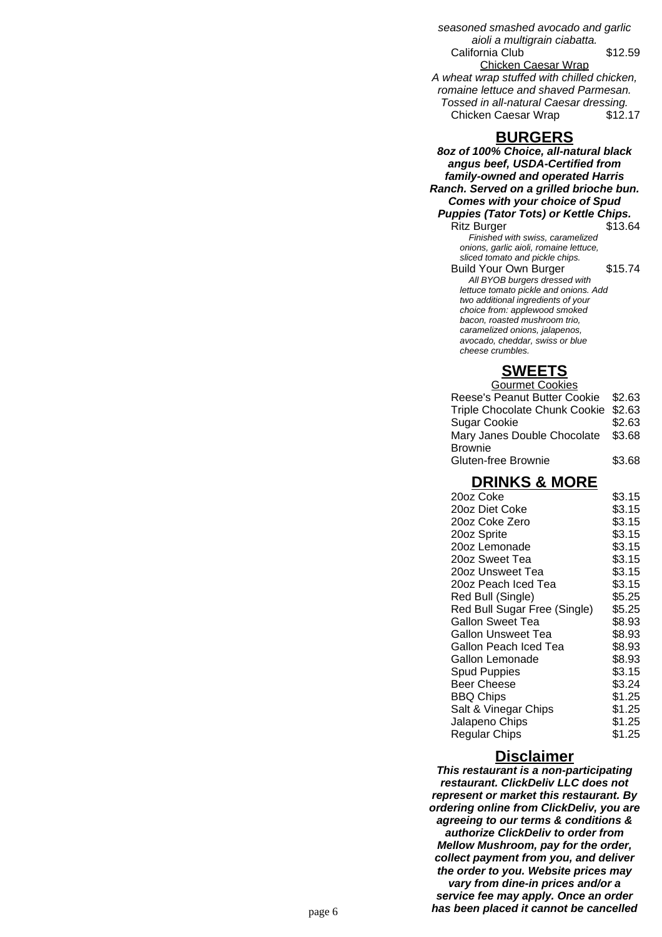seasoned smashed avocado and garlic aioli a multigrain ciabatta. California Club \$12.59 Chicken Caesar Wrap A wheat wrap stuffed with chilled chicken, romaine lettuce and shaved Parmesan. Tossed in all-natural Caesar dressing. Chicken Caesar Wrap \$12.17

#### **BURGERS**

**8oz of 100% Choice, all-natural black angus beef, USDA-Certified from family-owned and operated Harris Ranch. Served on a grilled brioche bun. Comes with your choice of Spud Puppies (Tator Tots) or Kettle Chips.** Ritz Burger \$13.64 Finished with swiss, caramelized onions, garlic aioli, romaine lettuce, sliced tomato and pickle chips. Build Your Own Burger \$15.74 All BYOB burgers dressed with lettuce tomato pickle and onions. Add two additional ingredients of your choice from: applewood smoked bacon, roasted mushroom trio, caramelized onions, jalapenos, avocado, cheddar, swiss or blue cheese crumbles.

# **SWEETS**

| <b>Gourmet Cookies</b>               |        |
|--------------------------------------|--------|
| Reese's Peanut Butter Cookie \$2.63  |        |
| Triple Chocolate Chunk Cookie \$2.63 |        |
| <b>Sugar Cookie</b>                  | \$2.63 |
| Mary Janes Double Chocolate \$3.68   |        |
| <b>Brownie</b>                       |        |
| Gluten-free Brownie                  | \$3.68 |

# **DRINKS & MORE**

| 20oz Coke                    | \$3.15 |
|------------------------------|--------|
| 20oz Diet Coke               | \$3.15 |
| 20oz Coke Zero               | \$3.15 |
| 20oz Sprite                  | \$3.15 |
| 20oz Lemonade                | \$3.15 |
| 20oz Sweet Tea               | \$3.15 |
| 20oz Unsweet Tea             | \$3.15 |
| 20oz Peach Iced Tea          | \$3.15 |
| Red Bull (Single)            | \$5.25 |
| Red Bull Sugar Free (Single) | \$5.25 |
| Gallon Sweet Tea             | \$8.93 |
| Gallon Unsweet Tea           | \$8.93 |
| Gallon Peach Iced Tea        | \$8.93 |
| Gallon Lemonade              | \$8.93 |
| <b>Spud Puppies</b>          | \$3.15 |
| <b>Beer Cheese</b>           | \$3.24 |
| <b>BBQ Chips</b>             | \$1.25 |
| Salt & Vinegar Chips         | \$1.25 |
| Jalapeno Chips               | \$1.25 |
| <b>Regular Chips</b>         | \$1.25 |
|                              |        |

#### **Disclaimer**

**This restaurant is a non-participating restaurant. ClickDeliv LLC does not represent or market this restaurant. By ordering online from ClickDeliv, you are agreeing to our terms & conditions & authorize ClickDeliv to order from Mellow Mushroom, pay for the order, collect payment from you, and deliver the order to you. Website prices may vary from dine-in prices and/or a service fee may apply. Once an order** page 6 **has been placed it cannot be cancelled**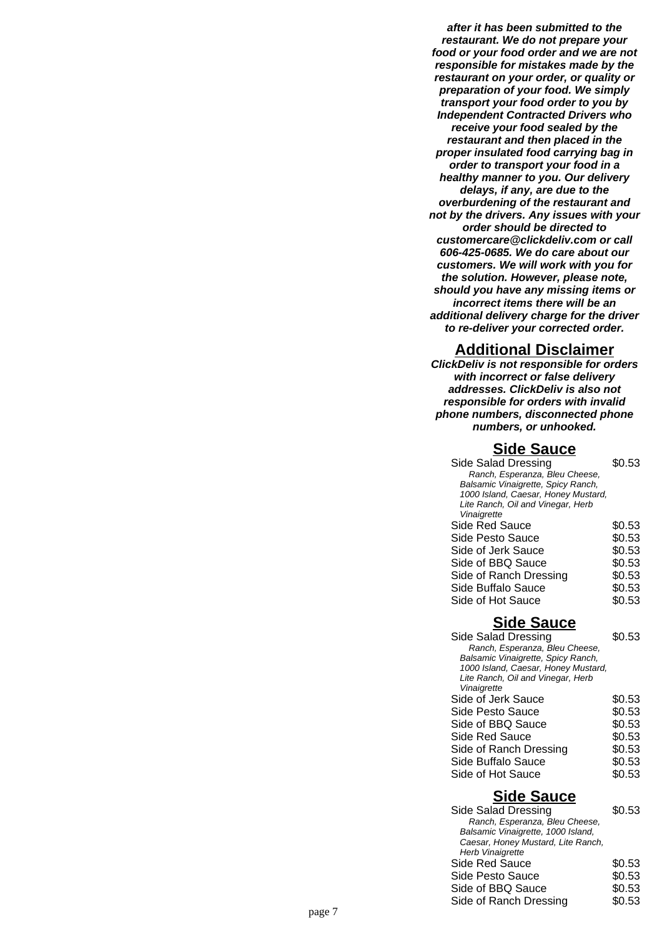**after it has been submitted to the restaurant. We do not prepare your food or your food order and we are not responsible for mistakes made by the restaurant on your order, or quality or preparation of your food. We simply transport your food order to you by Independent Contracted Drivers who receive your food sealed by the restaurant and then placed in the proper insulated food carrying bag in order to transport your food in a healthy manner to you. Our delivery delays, if any, are due to the overburdening of the restaurant and not by the drivers. Any issues with your order should be directed to customercare@clickdeliv.com or call 606-425-0685. We do care about our customers. We will work with you for the solution. However, please note, should you have any missing items or incorrect items there will be an additional delivery charge for the driver to re-deliver your corrected order.**

#### **Additional Disclaimer**

**ClickDeliv is not responsible for orders with incorrect or false delivery addresses. ClickDeliv is also not responsible for orders with invalid phone numbers, disconnected phone numbers, or unhooked.**

#### **Side Sauce**

| Side Salad Dressing                 | \$0.53 |
|-------------------------------------|--------|
| Ranch, Esperanza, Bleu Cheese,      |        |
| Balsamic Vinaigrette, Spicy Ranch,  |        |
| 1000 Island, Caesar, Honey Mustard, |        |
| Lite Ranch, Oil and Vinegar, Herb   |        |
| Vinaigrette                         |        |
| Side Red Sauce                      | \$0.53 |
| Side Pesto Sauce                    | \$0.53 |
| Side of Jerk Sauce                  | \$0.53 |
| Side of BBQ Sauce                   | \$0.53 |
| Side of Ranch Dressing              | \$0.53 |
| Side Buffalo Sauce                  | \$0.53 |
| Side of Hot Sauce                   | \$0.53 |

### **Side Sauce**

| Side Salad Dressing                 | \$0.53 |
|-------------------------------------|--------|
| Ranch, Esperanza, Bleu Cheese,      |        |
| Balsamic Vinaigrette, Spicy Ranch,  |        |
| 1000 Island, Caesar, Honey Mustard, |        |
| Lite Ranch, Oil and Vinegar, Herb   |        |
| Vinaigrette                         |        |
| Side of Jerk Sauce                  | \$0.53 |
| Side Pesto Sauce                    | \$0.53 |
| Side of BBQ Sauce                   | \$0.53 |
| Side Red Sauce                      | \$0.53 |
| Side of Ranch Dressing              | \$0.53 |
| Side Buffalo Sauce                  | \$0.53 |
| Side of Hot Sauce                   | \$0.53 |
|                                     |        |

### **Side Sauce**

| Side Salad Dressing                | \$0.53 |
|------------------------------------|--------|
| Ranch, Esperanza, Bleu Cheese,     |        |
| Balsamic Vinaigrette, 1000 Island, |        |
| Caesar, Honey Mustard, Lite Ranch, |        |
| Herb Vinaigrette                   |        |
| Side Red Sauce                     | \$0.53 |
| Side Pesto Sauce                   | \$0.53 |
| Side of BBQ Sauce                  | \$0.53 |
| Side of Ranch Dressing             | \$0.53 |